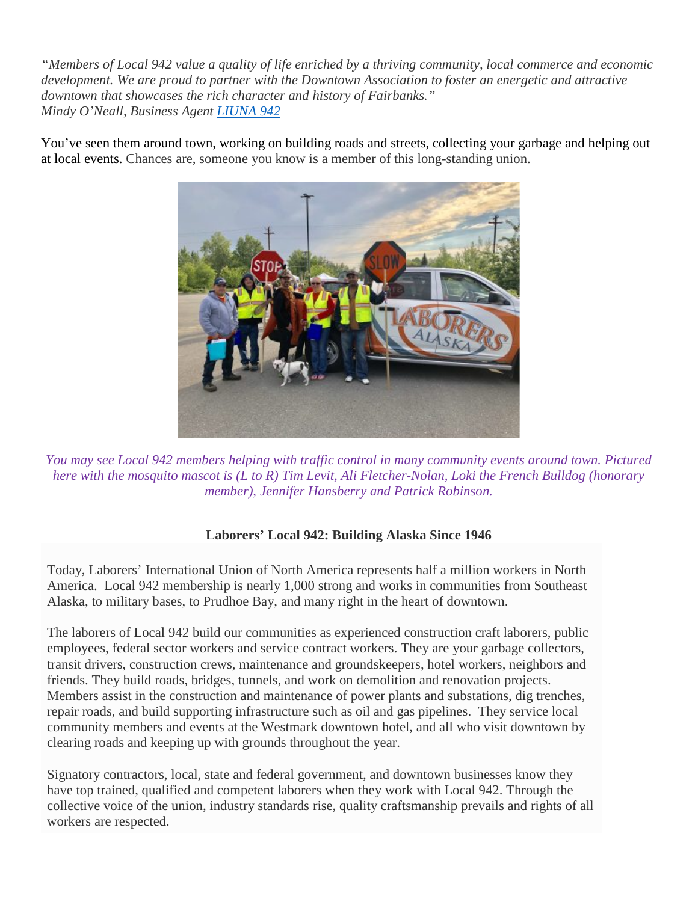"Members of Local 942 value a quality of life enriched by a thriving community, local commerce and economic *development. We are proud to partner with the Downtown Association to foster an energetic and attractive downtown that showcases the rich character and history of Fairbanks." Mindy O'Neall, Business Agent [LIUNA](https://aklaborers.com/) 942*

You've seen them around town, working on building roads and streets, collecting your garbage and helping out at local events. Chances are, someone you know is a member of this long-standing union.



*You may see Local 942 members helping with traffic control in many community events around town. Pictured* here with the mosquito mascot is  $(L to R)$  Tim Levit, Ali Fletcher-Nolan, Loki the French Bulldog (honorary *member), Jennifer Hansberry and Patrick Robinson.*

## **Laborers' Local 942: Building Alaska Since 1946**

Today, Laborers' International Union of North America represents half a million workers in North America. Local 942 membership is nearly 1,000 strong and works in communities from Southeast Alaska, to military bases, to Prudhoe Bay, and many right in the heart of downtown.

The laborers of Local 942 build our communities as experienced construction craft laborers, public employees, federal sector workers and service contract workers. They are your garbage collectors, transit drivers, construction crews, maintenance and groundskeepers, hotel workers, neighbors and friends. They build roads, bridges, tunnels, and work on demolition and renovation projects. Members assist in the construction and maintenance of power plants and substations, dig trenches, repair roads, and build supporting infrastructure such as oil and gas pipelines. They service local community members and events at the Westmark downtown hotel, and all who visit downtown by clearing roads and keeping up with grounds throughout the year.

Signatory contractors, local, state and federal government, and downtown businesses know they have top trained, qualified and competent laborers when they work with Local 942. Through the collective voice of the union, industry standards rise, quality craftsmanship prevails and rights of all workers are respected.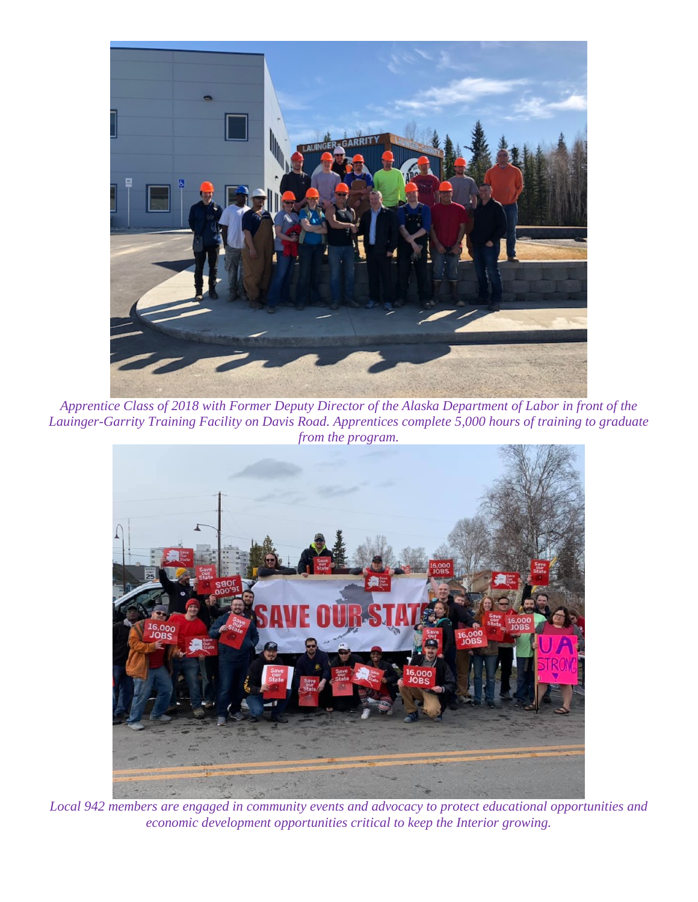

*Apprentice Class of 2018 with Former Deputy Director of the Alaska Department of Labor in front of the Lauinger-Garrity Training Facility on Davis Road. Apprentices complete 5,000 hours of training to graduate from the program.*



*Local 942 members are engaged in community events and advocacy to protect educational opportunities and economic development opportunities critical to keep the Interior growing.*